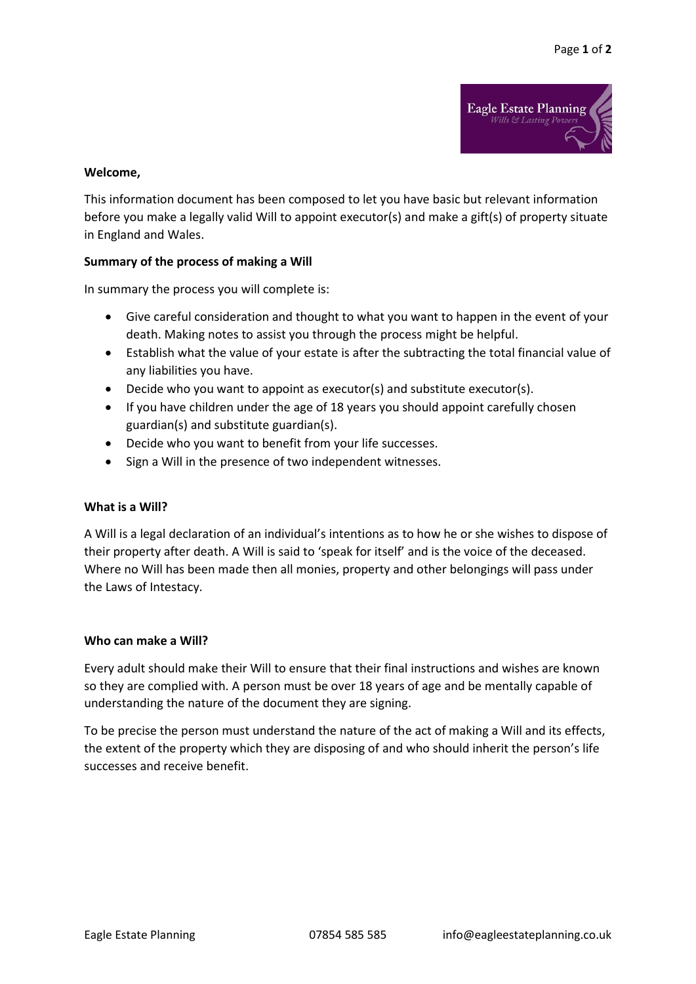

#### **Welcome,**

This information document has been composed to let you have basic but relevant information before you make a legally valid Will to appoint executor(s) and make a gift(s) of property situate in England and Wales.

#### **Summary of the process of making a Will**

In summary the process you will complete is:

- Give careful consideration and thought to what you want to happen in the event of your death. Making notes to assist you through the process might be helpful.
- Establish what the value of your estate is after the subtracting the total financial value of any liabilities you have.
- Decide who you want to appoint as executor(s) and substitute executor(s).
- If you have children under the age of 18 years you should appoint carefully chosen guardian(s) and substitute guardian(s).
- Decide who you want to benefit from your life successes.
- Sign a Will in the presence of two independent witnesses.

# **What is a Will?**

A Will is a legal declaration of an individual's intentions as to how he or she wishes to dispose of their property after death. A Will is said to 'speak for itself' and is the voice of the deceased. Where no Will has been made then all monies, property and other belongings will pass under the Laws of Intestacy.

#### **Who can make a Will?**

Every adult should make their Will to ensure that their final instructions and wishes are known so they are complied with. A person must be over 18 years of age and be mentally capable of understanding the nature of the document they are signing.

To be precise the person must understand the nature of the act of making a Will and its effects, the extent of the property which they are disposing of and who should inherit the person's life successes and receive benefit.